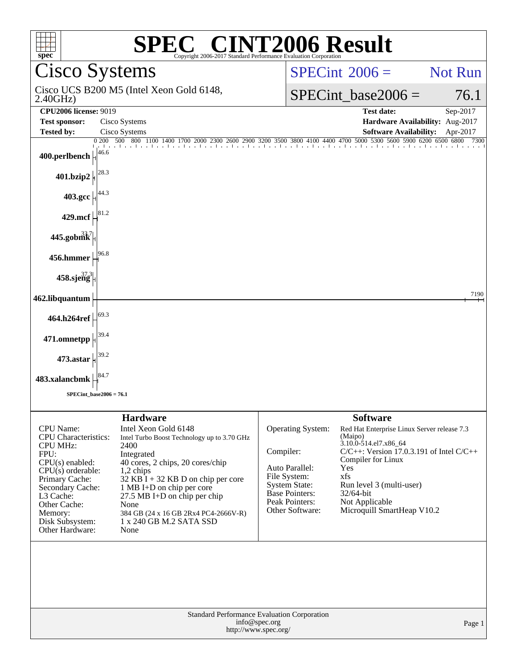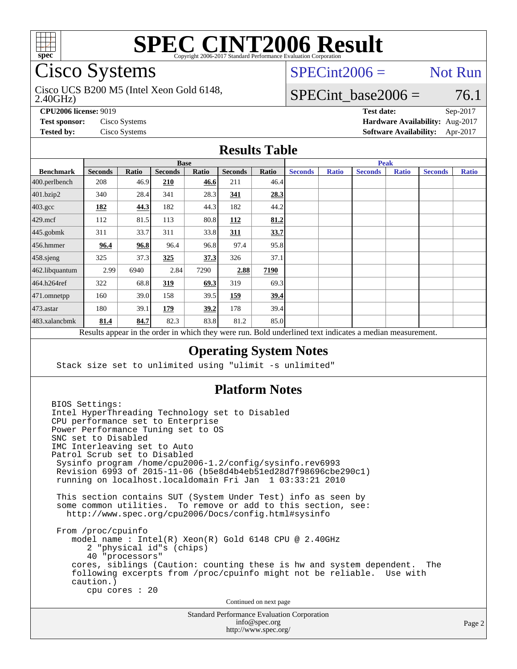

# Cisco Systems

### 2.40GHz) Cisco UCS B200 M5 (Intel Xeon Gold 6148,

## $SPECint2006 =$  Not Run

## SPECint base2006 =  $76.1$

**[CPU2006 license:](http://www.spec.org/auto/cpu2006/Docs/result-fields.html#CPU2006license)** 9019 **[Test date:](http://www.spec.org/auto/cpu2006/Docs/result-fields.html#Testdate)** Sep-2017 **[Test sponsor:](http://www.spec.org/auto/cpu2006/Docs/result-fields.html#Testsponsor)** Cisco Systems **[Hardware Availability:](http://www.spec.org/auto/cpu2006/Docs/result-fields.html#HardwareAvailability)** Aug-2017 **[Tested by:](http://www.spec.org/auto/cpu2006/Docs/result-fields.html#Testedby)** Cisco Systems **[Software Availability:](http://www.spec.org/auto/cpu2006/Docs/result-fields.html#SoftwareAvailability)** Apr-2017

### **[Results Table](http://www.spec.org/auto/cpu2006/Docs/result-fields.html#ResultsTable)**

|                                                                                                          | <b>Base</b>    |       |                |       |                |       | <b>Peak</b>    |              |                |              |                |              |
|----------------------------------------------------------------------------------------------------------|----------------|-------|----------------|-------|----------------|-------|----------------|--------------|----------------|--------------|----------------|--------------|
| <b>Benchmark</b>                                                                                         | <b>Seconds</b> | Ratio | <b>Seconds</b> | Ratio | <b>Seconds</b> | Ratio | <b>Seconds</b> | <b>Ratio</b> | <b>Seconds</b> | <b>Ratio</b> | <b>Seconds</b> | <b>Ratio</b> |
| 400.perlbench                                                                                            | 208            | 46.9  | 210            | 46.6  | 211            | 46.4  |                |              |                |              |                |              |
| 401.bzip2                                                                                                | 340            | 28.4  | 341            | 28.3  | 341            | 28.3  |                |              |                |              |                |              |
| $403.\mathrm{gcc}$                                                                                       | 182            | 44.3  | 182            | 44.3  | 182            | 44.2  |                |              |                |              |                |              |
| $429$ .mcf                                                                                               | 112            | 81.5  | 113            | 80.8  | 112            | 81.2  |                |              |                |              |                |              |
| $445$ .gobmk                                                                                             | 311            | 33.7  | 311            | 33.8  | 311            | 33.7  |                |              |                |              |                |              |
| $456.$ hmmer                                                                                             | 96.4           | 96.8  | 96.4           | 96.8  | 97.4           | 95.8  |                |              |                |              |                |              |
| $458$ .sjeng                                                                                             | 325            | 37.3  | 325            | 37.3  | 326            | 37.1  |                |              |                |              |                |              |
| 462.libquantum                                                                                           | 2.99           | 6940  | 2.84           | 7290  | 2.88           | 7190  |                |              |                |              |                |              |
| 464.h264ref                                                                                              | 322            | 68.8  | 319            | 69.3  | 319            | 69.3  |                |              |                |              |                |              |
| 471.omnetpp                                                                                              | 160            | 39.0  | 158            | 39.5  | 159            | 39.4  |                |              |                |              |                |              |
| $473$ . astar                                                                                            | 180            | 39.1  | 179            | 39.2  | 178            | 39.4  |                |              |                |              |                |              |
| 483.xalancbmk                                                                                            | 81.4           | 84.7  | 82.3           | 83.8  | 81.2           | 85.0  |                |              |                |              |                |              |
| Results appear in the order in which they were run. Bold underlined text indicates a median measurement. |                |       |                |       |                |       |                |              |                |              |                |              |

### **[Operating System Notes](http://www.spec.org/auto/cpu2006/Docs/result-fields.html#OperatingSystemNotes)**

Stack size set to unlimited using "ulimit -s unlimited"

### **[Platform Notes](http://www.spec.org/auto/cpu2006/Docs/result-fields.html#PlatformNotes)**

BIOS Settings: Intel HyperThreading Technology set to Disabled CPU performance set to Enterprise Power Performance Tuning set to OS SNC set to Disabled IMC Interleaving set to Auto Patrol Scrub set to Disabled Sysinfo program /home/cpu2006-1.2/config/sysinfo.rev6993 Revision 6993 of 2015-11-06 (b5e8d4b4eb51ed28d7f98696cbe290c1) running on localhost.localdomain Fri Jan 1 03:33:21 2010 This section contains SUT (System Under Test) info as seen by some common utilities. To remove or add to this section, see: <http://www.spec.org/cpu2006/Docs/config.html#sysinfo> From /proc/cpuinfo model name : Intel(R) Xeon(R) Gold 6148 CPU @ 2.40GHz 2 "physical id"s (chips) 40 "processors" cores, siblings (Caution: counting these is hw and system dependent. The following excerpts from /proc/cpuinfo might not be reliable. Use with caution.) cpu cores : 20 Continued on next page

Standard Performance Evaluation Corporation [info@spec.org](mailto:info@spec.org) <http://www.spec.org/>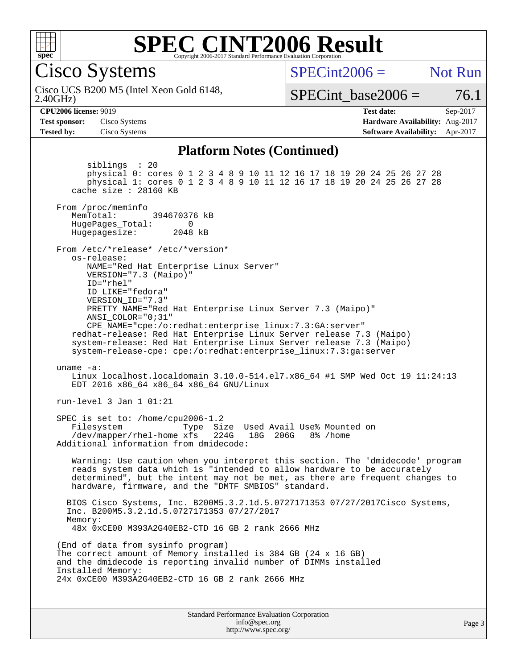

Cisco Systems

 $SPECint2006 =$  Not Run

2.40GHz) Cisco UCS B200 M5 (Intel Xeon Gold 6148,

SPECint base2006 =  $76.1$ 

Page 3

**[Tested by:](http://www.spec.org/auto/cpu2006/Docs/result-fields.html#Testedby)** Cisco Systems **[Software Availability:](http://www.spec.org/auto/cpu2006/Docs/result-fields.html#SoftwareAvailability)** Apr-2017

**[CPU2006 license:](http://www.spec.org/auto/cpu2006/Docs/result-fields.html#CPU2006license)** 9019 **[Test date:](http://www.spec.org/auto/cpu2006/Docs/result-fields.html#Testdate)** Sep-2017 **[Test sponsor:](http://www.spec.org/auto/cpu2006/Docs/result-fields.html#Testsponsor)** Cisco Systems **[Hardware Availability:](http://www.spec.org/auto/cpu2006/Docs/result-fields.html#HardwareAvailability)** Aug-2017

### **[Platform Notes \(Continued\)](http://www.spec.org/auto/cpu2006/Docs/result-fields.html#PlatformNotes)**

Standard Performance Evaluation Corporation siblings : 20 physical 0: cores 0 1 2 3 4 8 9 10 11 12 16 17 18 19 20 24 25 26 27 28 physical 1: cores 0 1 2 3 4 8 9 10 11 12 16 17 18 19 20 24 25 26 27 28 cache size : 28160 KB From /proc/meminfo MemTotal: 394670376 kB HugePages\_Total: 0<br>Hugepagesize: 2048 kB Hugepagesize: From /etc/\*release\* /etc/\*version\* os-release: NAME="Red Hat Enterprise Linux Server" VERSION="7.3 (Maipo)" ID="rhel" ID\_LIKE="fedora" VERSION\_ID="7.3" PRETTY\_NAME="Red Hat Enterprise Linux Server 7.3 (Maipo)" ANSI\_COLOR="0;31" CPE\_NAME="cpe:/o:redhat:enterprise\_linux:7.3:GA:server" redhat-release: Red Hat Enterprise Linux Server release 7.3 (Maipo) system-release: Red Hat Enterprise Linux Server release 7.3 (Maipo) system-release-cpe: cpe:/o:redhat:enterprise\_linux:7.3:ga:server uname -a: Linux localhost.localdomain 3.10.0-514.el7.x86\_64 #1 SMP Wed Oct 19 11:24:13 EDT 2016 x86\_64 x86\_64 x86\_64 GNU/Linux run-level 3 Jan 1 01:21 SPEC is set to: /home/cpu2006-1.2 Filesystem Type Size Used Avail Use% Mounted on<br>
/dev/mapper/rhel-home xfs 224G 18G 206G 8% /home /dev/mapper/rhel-home xfs Additional information from dmidecode: Warning: Use caution when you interpret this section. The 'dmidecode' program reads system data which is "intended to allow hardware to be accurately determined", but the intent may not be met, as there are frequent changes to hardware, firmware, and the "DMTF SMBIOS" standard. BIOS Cisco Systems, Inc. B200M5.3.2.1d.5.0727171353 07/27/2017Cisco Systems, Inc. B200M5.3.2.1d.5.0727171353 07/27/2017 Memory: 48x 0xCE00 M393A2G40EB2-CTD 16 GB 2 rank 2666 MHz (End of data from sysinfo program) The correct amount of Memory installed is 384 GB (24 x 16 GB) and the dmidecode is reporting invalid number of DIMMs installed Installed Memory: 24x 0xCE00 M393A2G40EB2-CTD 16 GB 2 rank 2666 MHz

> [info@spec.org](mailto:info@spec.org) <http://www.spec.org/>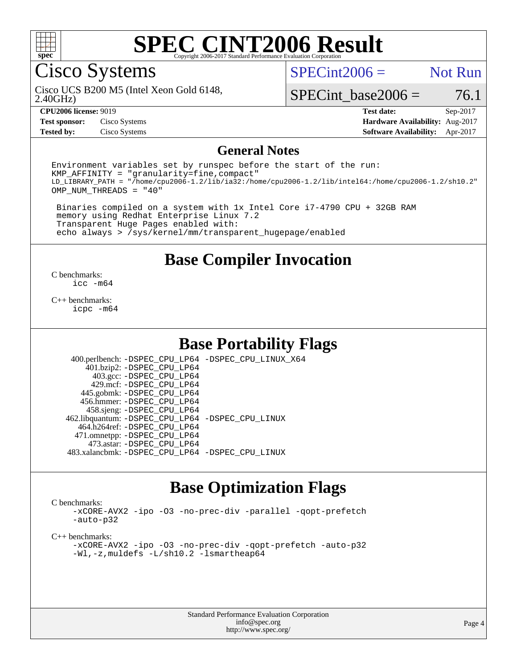

Cisco Systems

 $SPECint2006 =$  Not Run

2.40GHz) Cisco UCS B200 M5 (Intel Xeon Gold 6148,

SPECint base2006 =  $76.1$ 

**[Tested by:](http://www.spec.org/auto/cpu2006/Docs/result-fields.html#Testedby)** Cisco Systems **[Software Availability:](http://www.spec.org/auto/cpu2006/Docs/result-fields.html#SoftwareAvailability)** Apr-2017

**[CPU2006 license:](http://www.spec.org/auto/cpu2006/Docs/result-fields.html#CPU2006license)** 9019 **[Test date:](http://www.spec.org/auto/cpu2006/Docs/result-fields.html#Testdate)** Sep-2017 **[Test sponsor:](http://www.spec.org/auto/cpu2006/Docs/result-fields.html#Testsponsor)** Cisco Systems **[Hardware Availability:](http://www.spec.org/auto/cpu2006/Docs/result-fields.html#HardwareAvailability)** Aug-2017

### **[General Notes](http://www.spec.org/auto/cpu2006/Docs/result-fields.html#GeneralNotes)**

Environment variables set by runspec before the start of the run:  $KMP$  AFFINITY = "granularity=fine, compact" LD\_LIBRARY\_PATH = "/home/cpu2006-1.2/lib/ia32:/home/cpu2006-1.2/lib/intel64:/home/cpu2006-1.2/sh10.2" OMP\_NUM\_THREADS = "40"

 Binaries compiled on a system with 1x Intel Core i7-4790 CPU + 32GB RAM memory using Redhat Enterprise Linux 7.2 Transparent Huge Pages enabled with: echo always > /sys/kernel/mm/transparent\_hugepage/enabled

## **[Base Compiler Invocation](http://www.spec.org/auto/cpu2006/Docs/result-fields.html#BaseCompilerInvocation)**

[C benchmarks](http://www.spec.org/auto/cpu2006/Docs/result-fields.html#Cbenchmarks): [icc -m64](http://www.spec.org/cpu2006/results/res2017q4/cpu2006-20170919-50213.flags.html#user_CCbase_intel_icc_64bit_bda6cc9af1fdbb0edc3795bac97ada53)

[C++ benchmarks:](http://www.spec.org/auto/cpu2006/Docs/result-fields.html#CXXbenchmarks) [icpc -m64](http://www.spec.org/cpu2006/results/res2017q4/cpu2006-20170919-50213.flags.html#user_CXXbase_intel_icpc_64bit_fc66a5337ce925472a5c54ad6a0de310)

# **[Base Portability Flags](http://www.spec.org/auto/cpu2006/Docs/result-fields.html#BasePortabilityFlags)**

 400.perlbench: [-DSPEC\\_CPU\\_LP64](http://www.spec.org/cpu2006/results/res2017q4/cpu2006-20170919-50213.flags.html#b400.perlbench_basePORTABILITY_DSPEC_CPU_LP64) [-DSPEC\\_CPU\\_LINUX\\_X64](http://www.spec.org/cpu2006/results/res2017q4/cpu2006-20170919-50213.flags.html#b400.perlbench_baseCPORTABILITY_DSPEC_CPU_LINUX_X64) 401.bzip2: [-DSPEC\\_CPU\\_LP64](http://www.spec.org/cpu2006/results/res2017q4/cpu2006-20170919-50213.flags.html#suite_basePORTABILITY401_bzip2_DSPEC_CPU_LP64) 403.gcc: [-DSPEC\\_CPU\\_LP64](http://www.spec.org/cpu2006/results/res2017q4/cpu2006-20170919-50213.flags.html#suite_basePORTABILITY403_gcc_DSPEC_CPU_LP64) 429.mcf: [-DSPEC\\_CPU\\_LP64](http://www.spec.org/cpu2006/results/res2017q4/cpu2006-20170919-50213.flags.html#suite_basePORTABILITY429_mcf_DSPEC_CPU_LP64) 445.gobmk: [-DSPEC\\_CPU\\_LP64](http://www.spec.org/cpu2006/results/res2017q4/cpu2006-20170919-50213.flags.html#suite_basePORTABILITY445_gobmk_DSPEC_CPU_LP64) 456.hmmer: [-DSPEC\\_CPU\\_LP64](http://www.spec.org/cpu2006/results/res2017q4/cpu2006-20170919-50213.flags.html#suite_basePORTABILITY456_hmmer_DSPEC_CPU_LP64) 458.sjeng: [-DSPEC\\_CPU\\_LP64](http://www.spec.org/cpu2006/results/res2017q4/cpu2006-20170919-50213.flags.html#suite_basePORTABILITY458_sjeng_DSPEC_CPU_LP64) 462.libquantum: [-DSPEC\\_CPU\\_LP64](http://www.spec.org/cpu2006/results/res2017q4/cpu2006-20170919-50213.flags.html#suite_basePORTABILITY462_libquantum_DSPEC_CPU_LP64) [-DSPEC\\_CPU\\_LINUX](http://www.spec.org/cpu2006/results/res2017q4/cpu2006-20170919-50213.flags.html#b462.libquantum_baseCPORTABILITY_DSPEC_CPU_LINUX) 464.h264ref: [-DSPEC\\_CPU\\_LP64](http://www.spec.org/cpu2006/results/res2017q4/cpu2006-20170919-50213.flags.html#suite_basePORTABILITY464_h264ref_DSPEC_CPU_LP64) 471.omnetpp: [-DSPEC\\_CPU\\_LP64](http://www.spec.org/cpu2006/results/res2017q4/cpu2006-20170919-50213.flags.html#suite_basePORTABILITY471_omnetpp_DSPEC_CPU_LP64) 473.astar: [-DSPEC\\_CPU\\_LP64](http://www.spec.org/cpu2006/results/res2017q4/cpu2006-20170919-50213.flags.html#suite_basePORTABILITY473_astar_DSPEC_CPU_LP64) 483.xalancbmk: [-DSPEC\\_CPU\\_LP64](http://www.spec.org/cpu2006/results/res2017q4/cpu2006-20170919-50213.flags.html#suite_basePORTABILITY483_xalancbmk_DSPEC_CPU_LP64) [-DSPEC\\_CPU\\_LINUX](http://www.spec.org/cpu2006/results/res2017q4/cpu2006-20170919-50213.flags.html#b483.xalancbmk_baseCXXPORTABILITY_DSPEC_CPU_LINUX)

# **[Base Optimization Flags](http://www.spec.org/auto/cpu2006/Docs/result-fields.html#BaseOptimizationFlags)**

[C benchmarks](http://www.spec.org/auto/cpu2006/Docs/result-fields.html#Cbenchmarks):

[-xCORE-AVX2](http://www.spec.org/cpu2006/results/res2017q4/cpu2006-20170919-50213.flags.html#user_CCbase_f-xCORE-AVX2) [-ipo](http://www.spec.org/cpu2006/results/res2017q4/cpu2006-20170919-50213.flags.html#user_CCbase_f-ipo) [-O3](http://www.spec.org/cpu2006/results/res2017q4/cpu2006-20170919-50213.flags.html#user_CCbase_f-O3) [-no-prec-div](http://www.spec.org/cpu2006/results/res2017q4/cpu2006-20170919-50213.flags.html#user_CCbase_f-no-prec-div) [-parallel](http://www.spec.org/cpu2006/results/res2017q4/cpu2006-20170919-50213.flags.html#user_CCbase_f-parallel) [-qopt-prefetch](http://www.spec.org/cpu2006/results/res2017q4/cpu2006-20170919-50213.flags.html#user_CCbase_f-qopt-prefetch) [-auto-p32](http://www.spec.org/cpu2006/results/res2017q4/cpu2006-20170919-50213.flags.html#user_CCbase_f-auto-p32)

[C++ benchmarks:](http://www.spec.org/auto/cpu2006/Docs/result-fields.html#CXXbenchmarks)

[-xCORE-AVX2](http://www.spec.org/cpu2006/results/res2017q4/cpu2006-20170919-50213.flags.html#user_CXXbase_f-xCORE-AVX2) [-ipo](http://www.spec.org/cpu2006/results/res2017q4/cpu2006-20170919-50213.flags.html#user_CXXbase_f-ipo) [-O3](http://www.spec.org/cpu2006/results/res2017q4/cpu2006-20170919-50213.flags.html#user_CXXbase_f-O3) [-no-prec-div](http://www.spec.org/cpu2006/results/res2017q4/cpu2006-20170919-50213.flags.html#user_CXXbase_f-no-prec-div) [-qopt-prefetch](http://www.spec.org/cpu2006/results/res2017q4/cpu2006-20170919-50213.flags.html#user_CXXbase_f-qopt-prefetch) [-auto-p32](http://www.spec.org/cpu2006/results/res2017q4/cpu2006-20170919-50213.flags.html#user_CXXbase_f-auto-p32) [-Wl,-z,muldefs](http://www.spec.org/cpu2006/results/res2017q4/cpu2006-20170919-50213.flags.html#user_CXXbase_link_force_multiple1_74079c344b956b9658436fd1b6dd3a8a) [-L/sh10.2 -lsmartheap64](http://www.spec.org/cpu2006/results/res2017q4/cpu2006-20170919-50213.flags.html#user_CXXbase_SmartHeap64_63911d860fc08c15fa1d5bf319b9d8d5)